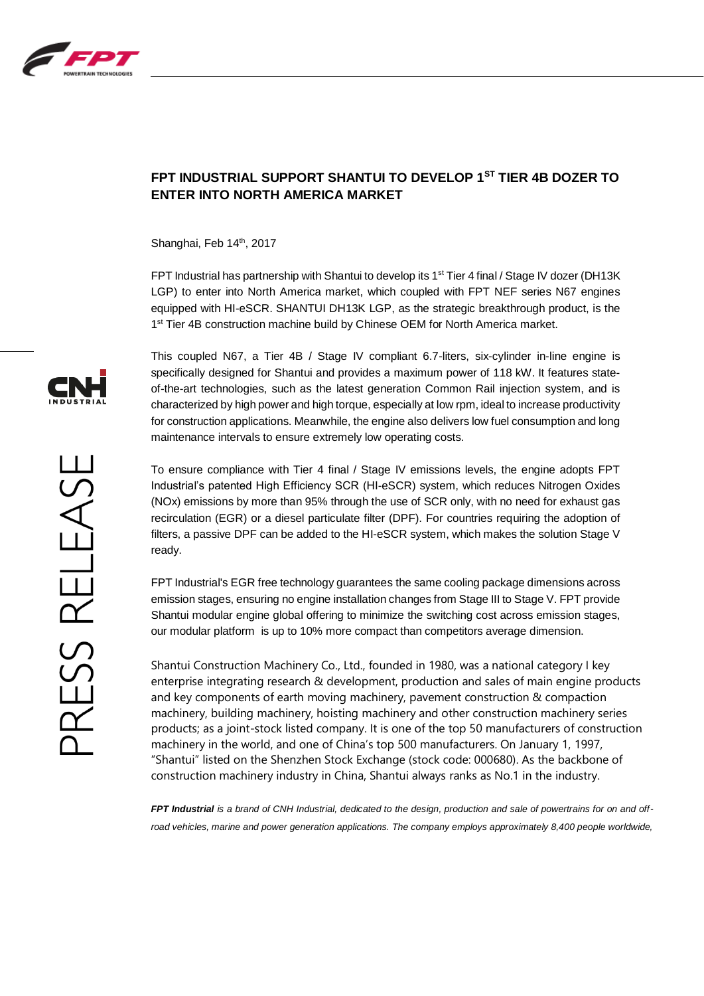

## **FPT INDUSTRIAL SUPPORT SHANTUI TO DEVELOP 1ST TIER 4B DOZER TO ENTER INTO NORTH AMERICA MARKET**

Shanghai, Feb 14<sup>th</sup>, 2017

FPT Industrial has partnership with Shantui to develop its 1<sup>st</sup> Tier 4 final / Stage IV dozer (DH13K LGP) to enter into North America market, which coupled with FPT NEF series N67 engines equipped with HI-eSCR. SHANTUI DH13K LGP, as the strategic breakthrough product, is the 1<sup>st</sup> Tier 4B construction machine build by Chinese OEM for North America market.

This coupled N67, a Tier 4B / Stage IV compliant 6.7-liters, six-cylinder in-line engine is specifically designed for Shantui and provides a maximum power of 118 kW. It features stateof-the-art technologies, such as the latest generation Common Rail injection system, and is characterized by high power and high torque, especially at low rpm, ideal to increase productivity for construction applications. Meanwhile, the engine also delivers low fuel consumption and long maintenance intervals to ensure extremely low operating costs.

To ensure compliance with Tier 4 final / Stage IV emissions levels, the engine adopts FPT Industrial's patented High Efficiency SCR (HI-eSCR) system, which reduces Nitrogen Oxides (NOx) emissions by more than 95% through the use of SCR only, with no need for exhaust gas recirculation (EGR) or a diesel particulate filter (DPF). For countries requiring the adoption of filters, a passive DPF can be added to the HI-eSCR system, which makes the solution Stage V ready.

FPT Industrial's EGR free technology guarantees the same cooling package dimensions across emission stages, ensuring no engine installation changes from Stage III to Stage V. FPT provide Shantui modular engine global offering to minimize the switching cost across emission stages, our modular platform is up to 10% more compact than competitors average dimension.

Shantui Construction Machinery Co., Ltd., founded in 1980, was a national category I key enterprise integrating research & development, production and sales of main engine products and key components of earth moving machinery, pavement construction & compaction machinery, building machinery, hoisting machinery and other construction machinery series products; as a joint-stock listed company. It is one of the top 50 manufacturers of construction machinery in the world, and one of China's top 500 manufacturers. On January 1, 1997, "Shantui" listed on the Shenzhen Stock Exchange (stock code: 000680). As the backbone of construction machinery industry in China, Shantui always ranks as No.1 in the industry.

*FPT Industrial is a brand of CNH Industrial, dedicated to the design, production and sale of powertrains for on and off*road vehicles, marine and power generation applications. The company employs approximately 8,400 people worldwide,